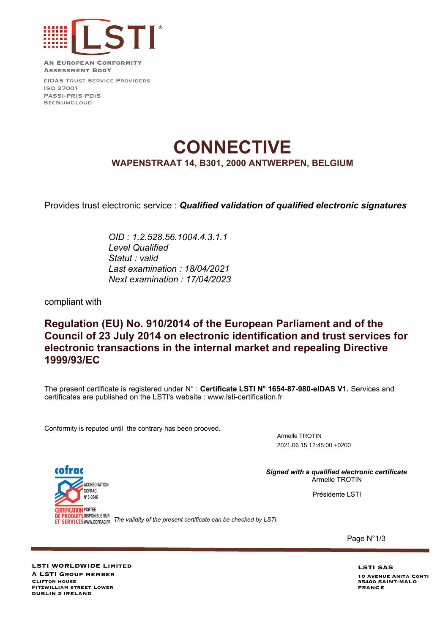

**An European Conformity Assessment BodY**

eIDAS Trust Service Providers ISO 27001 PASSI-PRIS-PDIS S<sub>FC</sub>NUMCLOUD

# **CONNECTIVE WAPENSTRAAT 14, B301, 2000 ANTWERPEN, BELGIUM**

Provides trust electronic service : *Qualified validation of qualified electronic signatures*

*OID : 1.2.528.56.1004.4.3.1.1 Level Qualified Statut : valid Last examination : 18/04/2021 Next examination : 17/04/2023*

compliant with

### **Regulation (EU) No. 910/2014 of the European Parliament and of the Council of 23 July 2014 on electronic identification and trust services for electronic transactions in the internal market and repealing Directive 1999/93/EC**

The present certificate is registered under N° : **Certificate LSTI N° 1654-87-980-eIDAS V1.** Services and certificates are published on the LSTI's website : www.lsti-certification.fr

Conformity is reputed until the contrary has been prooved.

Armelle TROTIN 2021.06.15 12:45:00 +0200

*Signed with a qualified electronic certificate* Armelle TROTIN

Présidente LSTI

cofrac ACCRÉDITATION **COFRAC** Nº 5-0546 **CERTIFICATION PORTÉE** DE PRODUITS DISPONIBLE SUR

**The validity of the validity of the present certificate can be checked by LSTI.** 

Page N°1/3

**LSTI WORLDWIDE Limited A LSTI Group member Fitzwilliam street Lower DUBLIN 2 IRELAND Clifton house**

**LSTI SAS 10 Avenue Anita Conti 35400 SAINT-MALO FRANCE**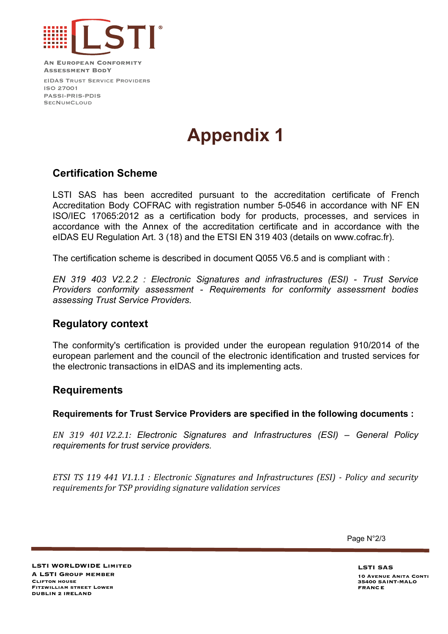

**An European Conformity Assessment BodY**

eIDAS Trust Service Providers ISO 27001 PASSI-PRIS-PDIS S<sub>FC</sub>NUMCLOUD

# **Appendix 1**

### **Certification Scheme**

LSTI SAS has been accredited pursuant to the accreditation certificate of French Accreditation Body COFRAC with registration number 5-0546 in accordance with NF EN ISO/IEC 17065:2012 as a certification body for products, processes, and services in accordance with the Annex of the accreditation certificate and in accordance with the eIDAS EU Regulation Art. 3 (18) and the ETSI EN 319 403 (details on www.cofrac.fr).

The certification scheme is described in document Q055 V6.5 and is compliant with :

*EN 319 403 V2.2.2 : Electronic Signatures and infrastructures (ESI) - Trust Service Providers conformity assessment - Requirements for conformity assessment bodies assessing Trust Service Providers.*

#### **Regulatory context**

The conformity's certification is provided under the european regulation 910/2014 of the european parlement and the council of the electronic identification and trusted services for the electronic transactions in eIDAS and its implementing acts.

#### **Requirements**

**Requirements for Trust Service Providers are specified in the following documents :**

*EN 319 401 V2.2.1: Electronic Signatures and Infrastructures (ESI) – General Policy requirements for trust service providers.*

*ETSI TS 119 441 V1.1.1 : Electronic Signatures and Infrastructures (ESI) - Policy and security requirements for TSP providing signature validation services*

Page N°2/3

**LSTI WORLDWIDE Limited A LSTI Group member Fitzwilliam street Lower DUBLIN 2 IRELAND Clifton house**

**LSTI SAS 10 Avenue Anita Conti 35400 SAINT-MALO FRANCE**